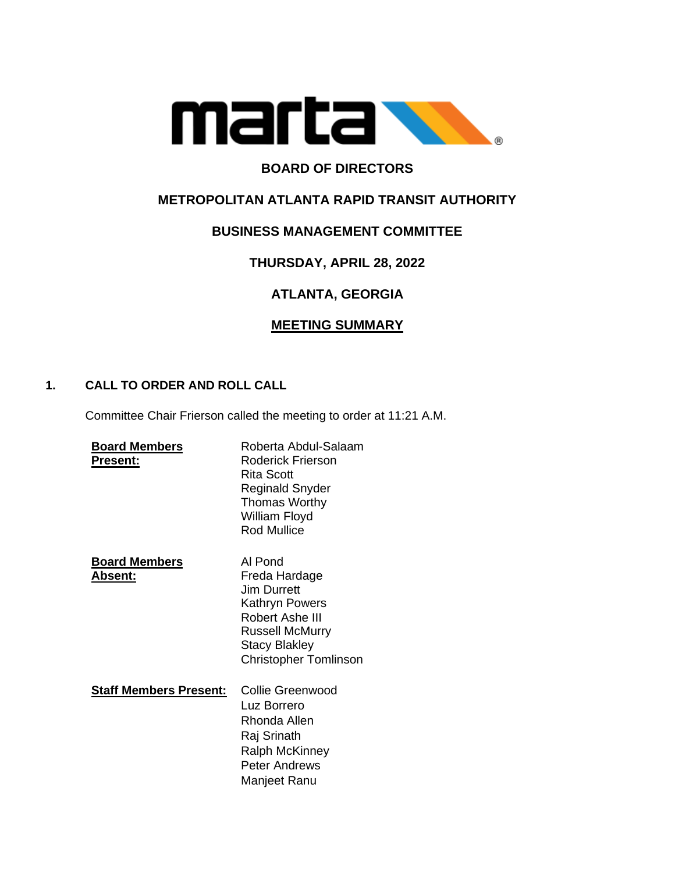

## **BOARD OF DIRECTORS**

## **METROPOLITAN ATLANTA RAPID TRANSIT AUTHORITY**

### **BUSINESS MANAGEMENT COMMITTEE**

## **THURSDAY, APRIL 28, 2022**

# **ATLANTA, GEORGIA**

### **MEETING SUMMARY**

### **1. CALL TO ORDER AND ROLL CALL**

Committee Chair Frierson called the meeting to order at 11:21 A.M.

| <b>Board Members</b><br><b>Present:</b> | Roberta Abdul-Salaam<br>Roderick Frierson<br>Rita Scott<br>Reginald Snyder<br><b>Thomas Worthy</b><br>William Floyd<br><b>Rod Mullice</b>                             |
|-----------------------------------------|-----------------------------------------------------------------------------------------------------------------------------------------------------------------------|
| <b>Board Members</b><br>Absent:         | Al Pond<br>Freda Hardage<br><b>Jim Durrett</b><br>Kathryn Powers<br>Robert Ashe III<br><b>Russell McMurry</b><br><b>Stacy Blakley</b><br><b>Christopher Tomlinson</b> |
| <b>Staff Members Present:</b>           | Collie Greenwood<br>Luz Borrero<br>Rhonda Allen<br>Raj Srinath<br><b>Ralph McKinney</b><br>Peter Andrews<br>Manjeet Ranu                                              |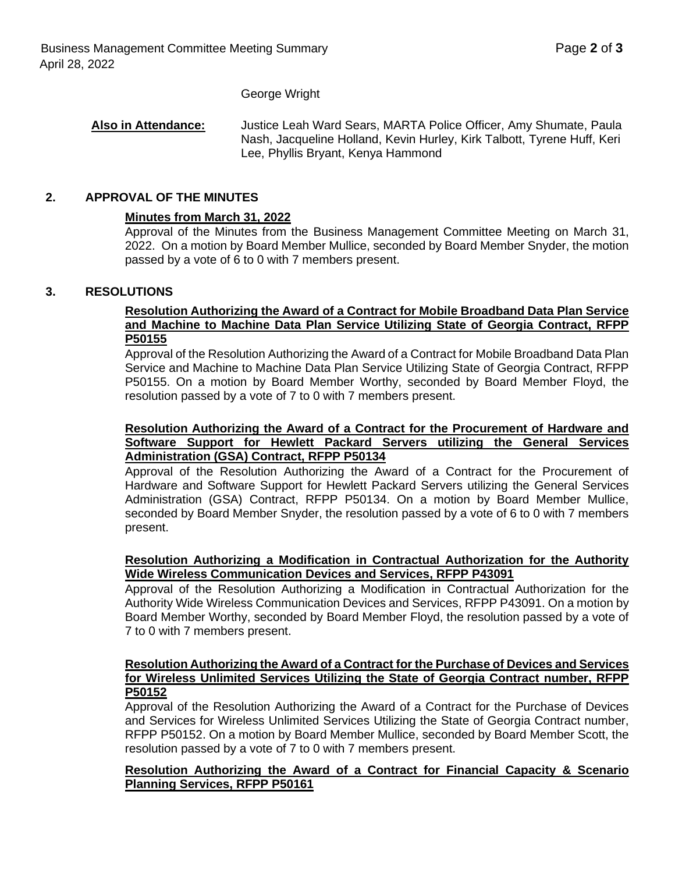#### George Wright

#### **Also in Attendance:** Justice Leah Ward Sears, MARTA Police Officer, Amy Shumate, Paula Nash, Jacqueline Holland, Kevin Hurley, Kirk Talbott, Tyrene Huff, Keri Lee, Phyllis Bryant, Kenya Hammond

### **2. APPROVAL OF THE MINUTES**

#### **Minutes from March 31, 2022**

Approval of the Minutes from the Business Management Committee Meeting on March 31, 2022. On a motion by Board Member Mullice, seconded by Board Member Snyder, the motion passed by a vote of 6 to 0 with 7 members present.

#### **3. RESOLUTIONS**

#### **Resolution Authorizing the Award of a Contract for Mobile Broadband Data Plan Service and Machine to Machine Data Plan Service Utilizing State of Georgia Contract, RFPP P50155**

Approval of the Resolution Authorizing the Award of a Contract for Mobile Broadband Data Plan Service and Machine to Machine Data Plan Service Utilizing State of Georgia Contract, RFPP P50155. On a motion by Board Member Worthy, seconded by Board Member Floyd, the resolution passed by a vote of 7 to 0 with 7 members present.

#### **Resolution Authorizing the Award of a Contract for the Procurement of Hardware and Software Support for Hewlett Packard Servers utilizing the General Services Administration (GSA) Contract, RFPP P50134**

Approval of the Resolution Authorizing the Award of a Contract for the Procurement of Hardware and Software Support for Hewlett Packard Servers utilizing the General Services Administration (GSA) Contract, RFPP P50134. On a motion by Board Member Mullice, seconded by Board Member Snyder, the resolution passed by a vote of 6 to 0 with 7 members present.

### **Resolution Authorizing a Modification in Contractual Authorization for the Authority Wide Wireless Communication Devices and Services, RFPP P43091**

Approval of the Resolution Authorizing a Modification in Contractual Authorization for the Authority Wide Wireless Communication Devices and Services, RFPP P43091. On a motion by Board Member Worthy, seconded by Board Member Floyd, the resolution passed by a vote of 7 to 0 with 7 members present.

#### **Resolution Authorizing the Award of a Contract for the Purchase of Devices and Services for Wireless Unlimited Services Utilizing the State of Georgia Contract number, RFPP P50152**

Approval of the Resolution Authorizing the Award of a Contract for the Purchase of Devices and Services for Wireless Unlimited Services Utilizing the State of Georgia Contract number, RFPP P50152. On a motion by Board Member Mullice, seconded by Board Member Scott, the resolution passed by a vote of 7 to 0 with 7 members present.

#### **Resolution Authorizing the Award of a Contract for Financial Capacity & Scenario Planning Services, RFPP P50161**